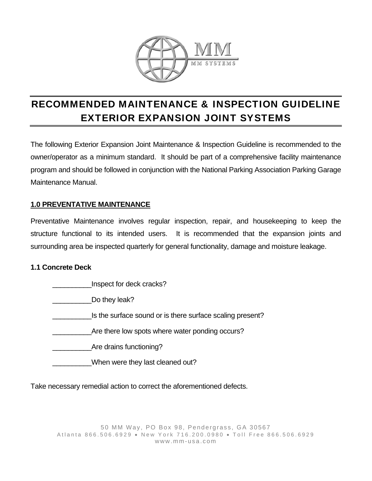

# RECOMMENDED MAINTENANCE & INSPECTION GUIDELINE EXTERIOR EXPANSION JOINT SYSTEMS

The following Exterior Expansion Joint Maintenance & Inspection Guideline is recommended to the owner/operator as a minimum standard. It should be part of a comprehensive facility maintenance program and should be followed in conjunction with the National Parking Association Parking Garage Maintenance Manual.

# **1.0 PREVENTATIVE MAINTENANCE**

Preventative Maintenance involves regular inspection, repair, and housekeeping to keep the structure functional to its intended users. It is recommended that the expansion joints and surrounding area be inspected quarterly for general functionality, damage and moisture leakage.

# **1.1 Concrete Deck**

Inspect for deck cracks? \_\_\_\_\_\_\_\_\_\_Do they leak? Is the surface sound or is there surface scaling present? Are there low spots where water ponding occurs? \_\_\_\_\_\_\_\_\_\_Are drains functioning? \_\_\_\_\_\_\_\_\_\_When were they last cleaned out?

Take necessary remedial action to correct the aforementioned defects.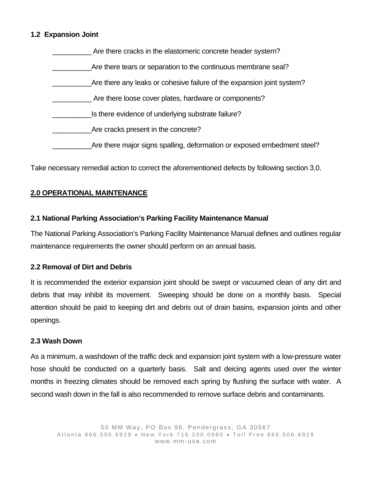## **1.2 Expansion Joint**

| Are there cracks in the elastomeric concrete header system?             |
|-------------------------------------------------------------------------|
| Are there tears or separation to the continuous membrane seal?          |
| Are there any leaks or cohesive failure of the expansion joint system?  |
| Are there loose cover plates, hardware or components?                   |
| Is there evidence of underlying substrate failure?                      |
| Are cracks present in the concrete?                                     |
| Are there major signs spalling, deformation or exposed embedment steel? |
|                                                                         |

Take necessary remedial action to correct the aforementioned defects by following section 3.0.

## **2.0 OPERATIONAL MAINTENANCE**

#### **2.1 National Parking Association's Parking Facility Maintenance Manual**

The National Parking Association's Parking Facility Maintenance Manual defines and outlines regular maintenance requirements the owner should perform on an annual basis.

#### **2.2 Removal of Dirt and Debris**

It is recommended the exterior expansion joint should be swept or vacuumed clean of any dirt and debris that may inhibit its movement. Sweeping should be done on a monthly basis. Special attention should be paid to keeping dirt and debris out of drain basins, expansion joints and other openings.

#### **2.3 Wash Down**

As a minimum, a washdown of the traffic deck and expansion joint system with a low-pressure water hose should be conducted on a quarterly basis. Salt and deicing agents used over the winter months in freezing climates should be removed each spring by flushing the surface with water. A second wash down in the fall is also recommended to remove surface debris and contaminants.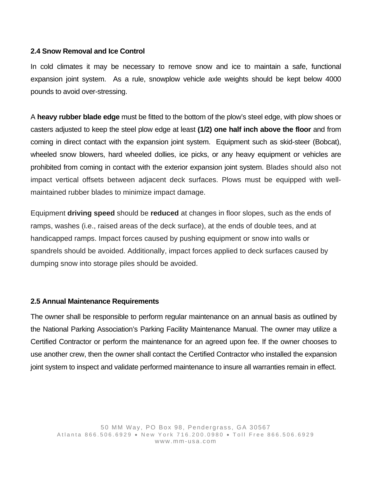## **2.4 Snow Removal and Ice Control**

In cold climates it may be necessary to remove snow and ice to maintain a safe, functional expansion joint system. As a rule, snowplow vehicle axle weights should be kept below 4000 pounds to avoid over-stressing.

A **heavy rubber blade edge** must be fitted to the bottom of the plow's steel edge, with plow shoes or casters adjusted to keep the steel plow edge at least **(1/2) one half inch above the floor** and from coming in direct contact with the expansion joint system. Equipment such as skid-steer (Bobcat), wheeled snow blowers, hard wheeled dollies, ice picks, or any heavy equipment or vehicles are prohibited from coming in contact with the exterior expansion joint system. Blades should also not impact vertical offsets between adjacent deck surfaces. Plows must be equipped with wellmaintained rubber blades to minimize impact damage.

Equipment **driving speed** should be **reduced** at changes in floor slopes, such as the ends of ramps, washes (i.e., raised areas of the deck surface), at the ends of double tees, and at handicapped ramps. Impact forces caused by pushing equipment or snow into walls or spandrels should be avoided. Additionally, impact forces applied to deck surfaces caused by dumping snow into storage piles should be avoided.

## **2.5 Annual Maintenance Requirements**

The owner shall be responsible to perform regular maintenance on an annual basis as outlined by the National Parking Association's Parking Facility Maintenance Manual. The owner may utilize a Certified Contractor or perform the maintenance for an agreed upon fee. If the owner chooses to use another crew, then the owner shall contact the Certified Contractor who installed the expansion joint system to inspect and validate performed maintenance to insure all warranties remain in effect.